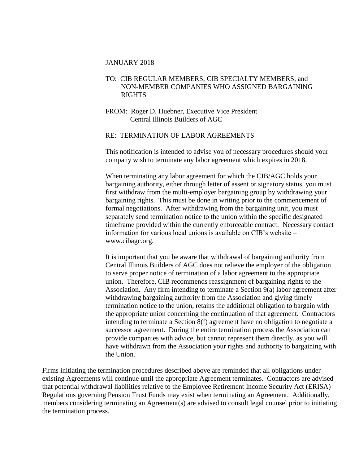#### JANUARY 2018

## TO: CIB REGULAR MEMBERS, CIB SPECIALTY MEMBERS, and NON-MEMBER COMPANIES WHO ASSIGNED BARGAINING **RIGHTS**

FROM: Roger D. Huebner, Executive Vice President Central Illinois Builders of AGC

### RE: TERMINATION OF LABOR AGREEMENTS

This notification is intended to advise you of necessary procedures should your company wish to terminate any labor agreement which expires in 2018.

When terminating any labor agreement for which the CIB/AGC holds your bargaining authority, either through letter of assent or signatory status, you must first withdraw from the multi-employer bargaining group by withdrawing your bargaining rights. This must be done in writing prior to the commencement of formal negotiations. After withdrawing from the bargaining unit, you must separately send termination notice to the union within the specific designated timeframe provided within the currently enforceable contract. Necessary contact information for various local unions is available on CIB's website – www.cibagc.org.

It is important that you be aware that withdrawal of bargaining authority from Central Illinois Builders of AGC does not relieve the employer of the obligation to serve proper notice of termination of a labor agreement to the appropriate union. Therefore, CIB recommends reassignment of bargaining rights to the Association. Any firm intending to terminate a Section 9(a) labor agreement after withdrawing bargaining authority from the Association and giving timely termination notice to the union, retains the additional obligation to bargain with the appropriate union concerning the continuation of that agreement. Contractors intending to terminate a Section 8(f) agreement have no obligation to negotiate a successor agreement. During the entire termination process the Association can provide companies with advice, but cannot represent them directly, as you will have withdrawn from the Association your rights and authority to bargaining with the Union.

Firms initiating the termination procedures described above are reminded that all obligations under existing Agreements will continue until the appropriate Agreement terminates. Contractors are advised that potential withdrawal liabilities relative to the Employee Retirement Income Security Act (ERISA) Regulations governing Pension Trust Funds may exist when terminating an Agreement. Additionally, members considering terminating an Agreement(s) are advised to consult legal counsel prior to initiating the termination process.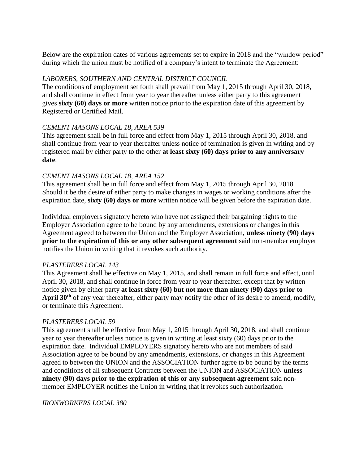Below are the expiration dates of various agreements set to expire in 2018 and the "window period" during which the union must be notified of a company's intent to terminate the Agreement:

## *LABORERS, SOUTHERN AND CENTRAL DISTRICT COUNCIL*

The conditions of employment set forth shall prevail from May 1, 2015 through April 30, 2018, and shall continue in effect from year to year thereafter unless either party to this agreement gives **sixty (60) days or more** written notice prior to the expiration date of this agreement by Registered or Certified Mail.

## *CEMENT MASONS LOCAL 18, AREA 539*

This agreement shall be in full force and effect from May 1, 2015 through April 30, 2018, and shall continue from year to year thereafter unless notice of termination is given in writing and by registered mail by either party to the other **at least sixty (60) days prior to any anniversary date**.

## *CEMENT MASONS LOCAL 18, AREA 152*

This agreement shall be in full force and effect from May 1, 2015 through April 30, 2018. Should it be the desire of either party to make changes in wages or working conditions after the expiration date, **sixty (60) days or more** written notice will be given before the expiration date.

Individual employers signatory hereto who have not assigned their bargaining rights to the Employer Association agree to be bound by any amendments, extensions or changes in this Agreement agreed to between the Union and the Employer Association, **unless ninety (90) days prior to the expiration of this or any other subsequent agreement** said non-member employer notifies the Union in writing that it revokes such authority.

## *PLASTERERS LOCAL 143*

This Agreement shall be effective on May 1, 2015, and shall remain in full force and effect, until April 30, 2018, and shall continue in force from year to year thereafter, except that by written notice given by either party **at least sixty (60) but not more than ninety (90) days prior to April 30th** of any year thereafter, either party may notify the other of its desire to amend, modify, or terminate this Agreement.

#### *PLASTERERS LOCAL 59*

This agreement shall be effective from May 1, 2015 through April 30, 2018, and shall continue year to year thereafter unless notice is given in writing at least sixty (60) days prior to the expiration date. Individual EMPLOYERS signatory hereto who are not members of said Association agree to be bound by any amendments, extensions, or changes in this Agreement agreed to between the UNION and the ASSOCIATION further agree to be bound by the terms and conditions of all subsequent Contracts between the UNION and ASSOCIATION **unless ninety (90) days prior to the expiration of this or any subsequent agreement** said nonmember EMPLOYER notifies the Union in writing that it revokes such authorization.

*IRONWORKERS LOCAL 380*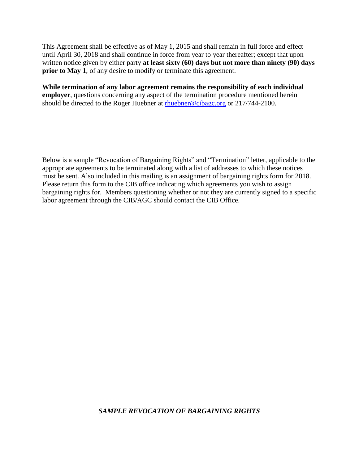This Agreement shall be effective as of May 1, 2015 and shall remain in full force and effect until April 30, 2018 and shall continue in force from year to year thereafter; except that upon written notice given by either party **at least sixty (60) days but not more than ninety (90) days prior to May 1**, of any desire to modify or terminate this agreement.

**While termination of any labor agreement remains the responsibility of each individual employer**, questions concerning any aspect of the termination procedure mentioned herein should be directed to the Roger Huebner at [rhuebner@cibagc.org](mailto:rhuebner@cibagc.org) or 217/744-2100.

Below is a sample "Revocation of Bargaining Rights" and "Termination" letter, applicable to the appropriate agreements to be terminated along with a list of addresses to which these notices must be sent. Also included in this mailing is an assignment of bargaining rights form for 2018. Please return this form to the CIB office indicating which agreements you wish to assign bargaining rights for. Members questioning whether or not they are currently signed to a specific labor agreement through the CIB/AGC should contact the CIB Office.

#### *SAMPLE REVOCATION OF BARGAINING RIGHTS*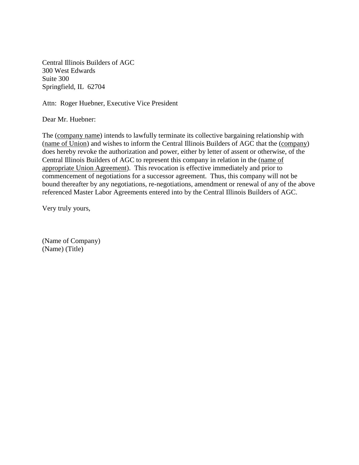Central Illinois Builders of AGC 300 West Edwards Suite 300 Springfield, IL 62704

Attn: Roger Huebner, Executive Vice President

Dear Mr. Huebner:

The (company name) intends to lawfully terminate its collective bargaining relationship with (name of Union) and wishes to inform the Central Illinois Builders of AGC that the (company) does hereby revoke the authorization and power, either by letter of assent or otherwise, of the Central Illinois Builders of AGC to represent this company in relation in the (name of appropriate Union Agreement). This revocation is effective immediately and prior to commencement of negotiations for a successor agreement. Thus, this company will not be bound thereafter by any negotiations, re-negotiations, amendment or renewal of any of the above referenced Master Labor Agreements entered into by the Central Illinois Builders of AGC.

Very truly yours,

(Name of Company) (Name) (Title)